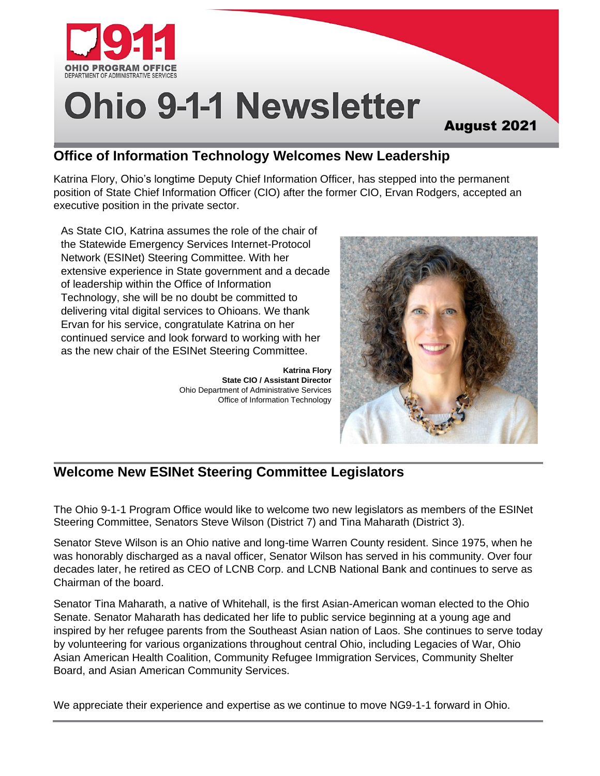

# **Ohio 9-1-1 Newsletter**

#### August 2021

# **Office of Information Technology Welcomes New Leadership**

Katrina Flory, Ohio's longtime Deputy Chief Information Officer, has stepped into the permanent position of State Chief Information Officer (CIO) after the former CIO, Ervan Rodgers, accepted an executive position in the private sector.

As State CIO, Katrina assumes the role of the chair of the Statewide Emergency Services Internet-Protocol Network (ESINet) Steering Committee. With her extensive experience in State government and a decade of leadership within the Office of Information Technology, she will be no doubt be committed to delivering vital digital services to Ohioans. We thank Ervan for his service, congratulate Katrina on her continued service and look forward to working with her as the new chair of the ESINet Steering Committee.

> **Katrina Flory State CIO / Assistant Director** Ohio Department of Administrative Services Office of Information Technology



# **Welcome New ESINet Steering Committee Legislators**

The Ohio 9-1-1 Program Office would like to welcome two new legislators as members of the ESINet Steering Committee, Senators Steve Wilson (District 7) and Tina Maharath (District 3).

Senator Steve Wilson is an Ohio native and long-time Warren County resident. Since 1975, when he was honorably discharged as a naval officer, Senator Wilson has served in his community. Over four decades later, he retired as CEO of LCNB Corp. and LCNB National Bank and continues to serve as Chairman of the board.

Senator Tina Maharath, a native of Whitehall, is the first Asian-American woman elected to the Ohio Senate. Senator Maharath has dedicated her life to public service beginning at a young age and inspired by her refugee parents from the Southeast Asian nation of Laos. She continues to serve today by volunteering for various organizations throughout central Ohio, including Legacies of War, Ohio Asian American Health Coalition, Community Refugee Immigration Services, Community Shelter Board, and Asian American Community Services.

We appreciate their experience and expertise as we continue to move NG9-1-1 forward in Ohio.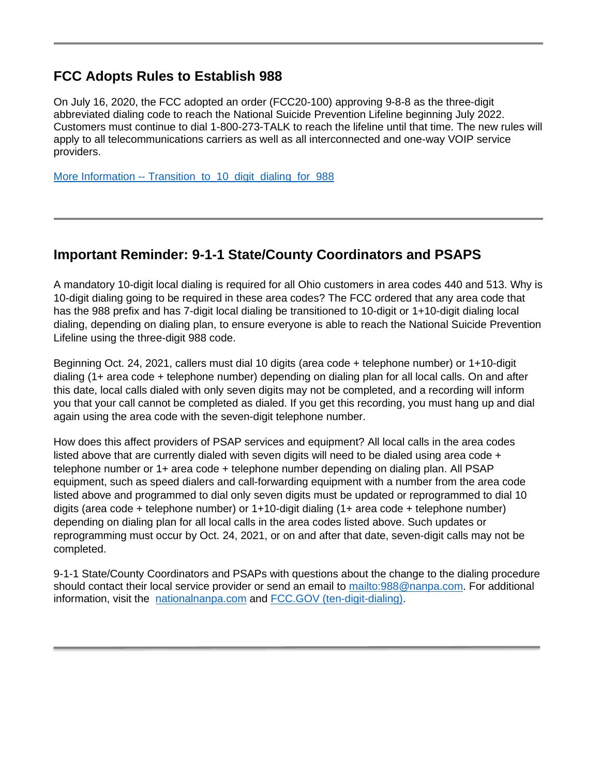#### **FCC Adopts Rules to Establish 988**

On July 16, 2020, the FCC adopted an order (FCC20-100) approving 9-8-8 as the three-digit abbreviated dialing code to reach the National Suicide Prevention Lifeline beginning July 2022. Customers must continue to dial 1-800-273-TALK to reach the lifeline until that time. The new rules will apply to all telecommunications carriers as well as all interconnected and one-way VOIP service providers.

More Information -- Transition to 10 digit dialing for 988

#### **Important Reminder: 9-1-1 State/County Coordinators and PSAPS**

A mandatory 10-digit local dialing is required for all Ohio customers in area codes 440 and 513. Why is 10-digit dialing going to be required in these area codes? The FCC ordered that any area code that has the 988 prefix and has 7-digit local dialing be transitioned to 10-digit or 1+10-digit dialing local dialing, depending on dialing plan, to ensure everyone is able to reach the National Suicide Prevention Lifeline using the three-digit 988 code.

Beginning Oct. 24, 2021, callers must dial 10 digits (area code + telephone number) or 1+10-digit dialing (1+ area code + telephone number) depending on dialing plan for all local calls. On and after this date, local calls dialed with only seven digits may not be completed, and a recording will inform you that your call cannot be completed as dialed. If you get this recording, you must hang up and dial again using the area code with the seven-digit telephone number.

How does this affect providers of PSAP services and equipment? All local calls in the area codes listed above that are currently dialed with seven digits will need to be dialed using area code + telephone number or 1+ area code + telephone number depending on dialing plan. All PSAP equipment, such as speed dialers and call-forwarding equipment with a number from the area code listed above and programmed to dial only seven digits must be updated or reprogrammed to dial 10 digits (area code + telephone number) or 1+10-digit dialing (1+ area code + telephone number) depending on dialing plan for all local calls in the area codes listed above. Such updates or reprogramming must occur by Oct. 24, 2021, or on and after that date, seven-digit calls may not be completed.

9-1-1 State/County Coordinators and PSAPs with questions about the change to the dialing procedure should contact their local service provider or send an email to [mailto:988@nanpa.com.](mailto:988@nanpa.com) For additional information, visit the [nationalnanpa.com](https://nationalnanpa.com/) and [FCC.GOV \(ten-digit-dialing\).](https://www.fcc.gov/consumers/guides/ten-digit-dialing)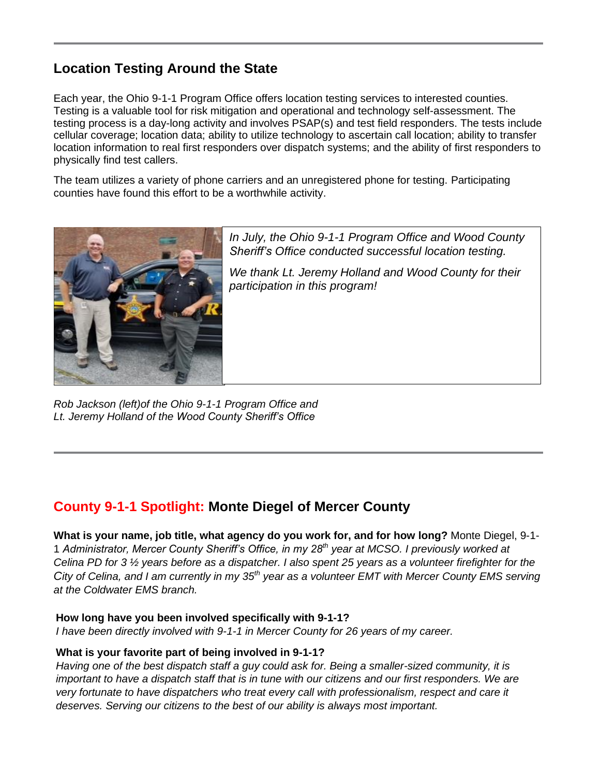# **Location Testing Around the State**

Each year, the Ohio 9-1-1 Program Office offers location testing services to interested counties. Testing is a valuable tool for risk mitigation and operational and technology self-assessment. The testing process is a day-long activity and involves PSAP(s) and test field responders. The tests include cellular coverage; location data; ability to utilize technology to ascertain call location; ability to transfer location information to real first responders over dispatch systems; and the ability of first responders to physically find test callers.

The team utilizes a variety of phone carriers and an unregistered phone for testing. Participating counties have found this effort to be a worthwhile activity.



*In July, the Ohio 9-1-1 Program Office and Wood County Sheriff's Office conducted successful location testing.* 

*We thank Lt. Jeremy Holland and Wood County for their participation in this program!*

*Rob Jackson (left)of the Ohio 9-1-1 Program Office and Lt. Jeremy Holland of the Wood County Sheriff's Office*

# **County 9-1-1 Spotlight: Monte Diegel of Mercer County**

**What is your name, job title, what agency do you work for, and for how long?** Monte Diegel, 9-1- 1 *Administrator, Mercer County Sheriff's Office, in my 28th year at MCSO. I previously worked at Celina PD for 3 ½ years before as a dispatcher. I also spent 25 years as a volunteer firefighter for the City of Celina, and I am currently in my 35th year as a volunteer EMT with Mercer County EMS serving at the Coldwater EMS branch.*

#### **How long have you been involved specifically with 9-1-1?**

*I have been directly involved with 9-1-1 in Mercer County for 26 years of my career.*

#### **What is your favorite part of being involved in 9-1-1?**

*Having one of the best dispatch staff a guy could ask for. Being a smaller-sized community, it is important to have a dispatch staff that is in tune with our citizens and our first responders. We are very fortunate to have dispatchers who treat every call with professionalism, respect and care it deserves. Serving our citizens to the best of our ability is always most important.*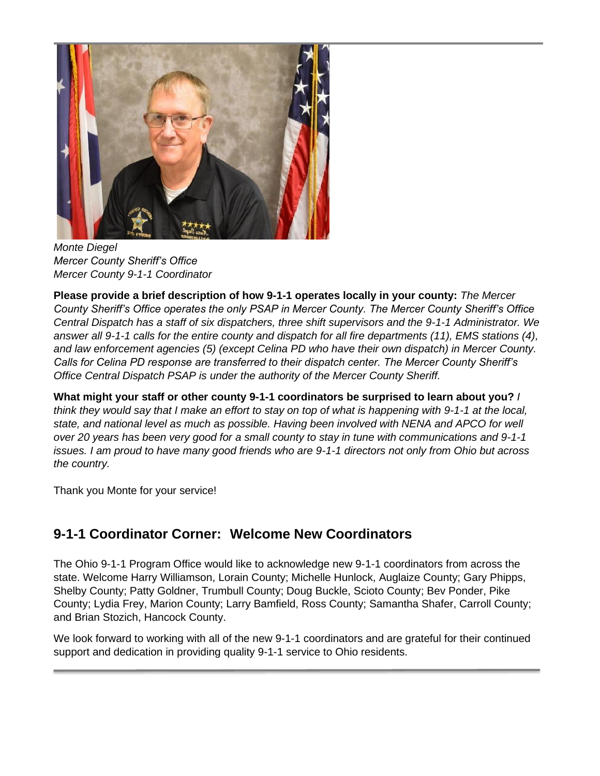

*Monte Diegel Mercer County Sheriff's Office Mercer County 9-1-1 Coordinator*

**Please provide a brief description of how 9-1-1 operates locally in your county:** *The Mercer County Sheriff's Office operates the only PSAP in Mercer County. The Mercer County Sheriff's Office Central Dispatch has a staff of six dispatchers, three shift supervisors and the 9-1-1 Administrator. We answer all 9-1-1 calls for the entire county and dispatch for all fire departments (11), EMS stations (4), and law enforcement agencies (5) (except Celina PD who have their own dispatch) in Mercer County. Calls for Celina PD response are transferred to their dispatch center. The Mercer County Sheriff's Office Central Dispatch PSAP is under the authority of the Mercer County Sheriff.*

**What might your staff or other county 9-1-1 coordinators be surprised to learn about you?** *I think they would say that I make an effort to stay on top of what is happening with 9-1-1 at the local, state, and national level as much as possible. Having been involved with NENA and APCO for well over 20 years has been very good for a small county to stay in tune with communications and 9-1-1 issues. I am proud to have many good friends who are 9-1-1 directors not only from Ohio but across the country.*

Thank you Monte for your service!

# **9-1-1 Coordinator Corner: Welcome New Coordinators**

The Ohio 9-1-1 Program Office would like to acknowledge new 9-1-1 coordinators from across the state. Welcome Harry Williamson, Lorain County; Michelle Hunlock, Auglaize County; Gary Phipps, Shelby County; Patty Goldner, Trumbull County; Doug Buckle, Scioto County; Bev Ponder, Pike County; Lydia Frey, Marion County; Larry Bamfield, Ross County; Samantha Shafer, Carroll County; and Brian Stozich, Hancock County.

We look forward to working with all of the new 9-1-1 coordinators and are grateful for their continued support and dedication in providing quality 9-1-1 service to Ohio residents.